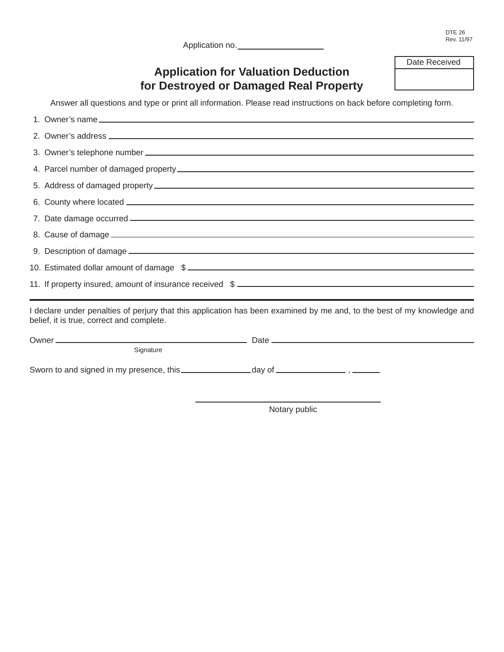| Application no. |  |
|-----------------|--|
|                 |  |

# **Application for Valuation Deduction for Destroyed or Damaged Real Property**

Answer all questions and type or print all information. Please read instructions on back before completing form.

| 10. Estimated dollar amount of damage \$                                                                                                                             |  |
|----------------------------------------------------------------------------------------------------------------------------------------------------------------------|--|
| 11. If property insured, amount of insurance received \$                                                                                                             |  |
| I declare under penalties of perjury that this application has been examined by me and, to the best of my knowledge and<br>belief, it is true, correct and complete. |  |
|                                                                                                                                                                      |  |
| Signature                                                                                                                                                            |  |

Sworn to and signed in my presence, this \_\_\_\_\_\_\_\_\_\_\_\_\_\_\_ day of \_\_\_\_\_\_\_\_\_\_\_\_\_\_\_\_\_\_, \_\_\_\_\_\_

Notary public

Date Received